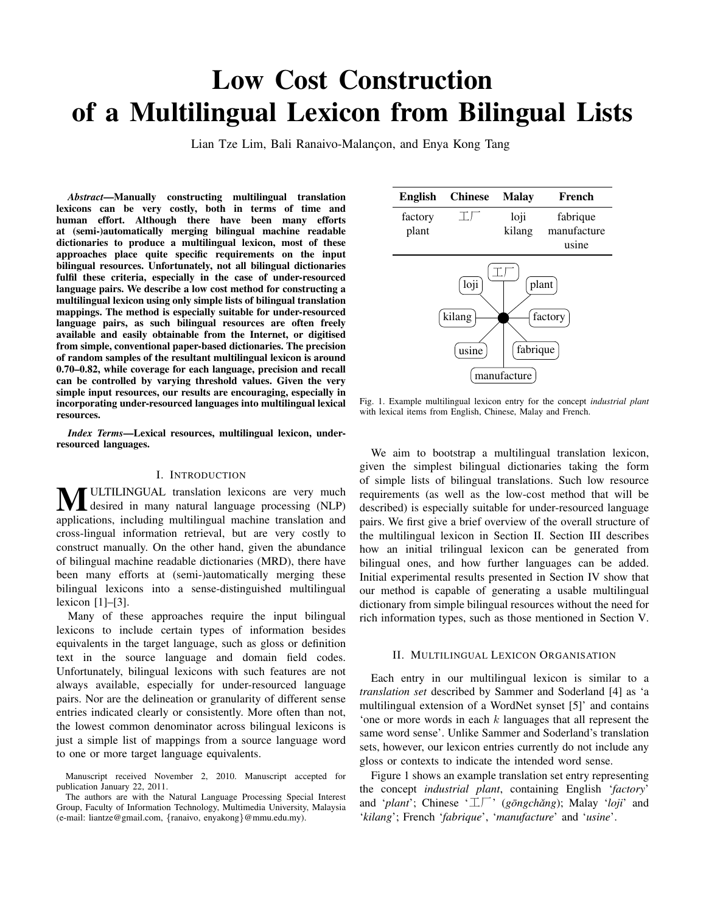# Low Cost Construction of a Multilingual Lexicon from Bilingual Lists

Lian Tze Lim, Bali Ranaivo-Malançon, and Enya Kong Tang

*Abstract*—Manually constructing multilingual translation lexicons can be very costly, both in terms of time and human effort. Although there have been many efforts at (semi-)automatically merging bilingual machine readable dictionaries to produce a multilingual lexicon, most of these approaches place quite specific requirements on the input bilingual resources. Unfortunately, not all bilingual dictionaries fulfil these criteria, especially in the case of under-resourced language pairs. We describe a low cost method for constructing a multilingual lexicon using only simple lists of bilingual translation mappings. The method is especially suitable for under-resourced language pairs, as such bilingual resources are often freely available and easily obtainable from the Internet, or digitised from simple, conventional paper-based dictionaries. The precision of random samples of the resultant multilingual lexicon is around 0.70–0.82, while coverage for each language, precision and recall can be controlled by varying threshold values. Given the very simple input resources, our results are encouraging, especially in incorporating under-resourced languages into multilingual lexical resources.

*Index Terms*—Lexical resources, multilingual lexicon, underresourced languages.

## I. INTRODUCTION

**MULTILINGUAL** translation lexicons are very much desired in many natural language processing (NLP) applications, including multilingual machine translation and cross-lingual information retrieval, but are very costly to construct manually. On the other hand, given the abundance of bilingual machine readable dictionaries (MRD), there have been many efforts at (semi-)automatically merging these bilingual lexicons into a sense-distinguished multilingual lexicon [1]–[3].

Many of these approaches require the input bilingual lexicons to include certain types of information besides equivalents in the target language, such as gloss or definition text in the source language and domain field codes. Unfortunately, bilingual lexicons with such features are not always available, especially for under-resourced language pairs. Nor are the delineation or granularity of different sense entries indicated clearly or consistently. More often than not, the lowest common denominator across bilingual lexicons is just a simple list of mappings from a source language word to one or more target language equivalents.



Fig. 1. Example multilingual lexicon entry for the concept *industrial plant* with lexical items from English, Chinese, Malay and French.

We aim to bootstrap a multilingual translation lexicon, given the simplest bilingual dictionaries taking the form of simple lists of bilingual translations. Such low resource requirements (as well as the low-cost method that will be described) is especially suitable for under-resourced language pairs. We first give a brief overview of the overall structure of the multilingual lexicon in Section II. Section III describes how an initial trilingual lexicon can be generated from bilingual ones, and how further languages can be added. Initial experimental results presented in Section IV show that our method is capable of generating a usable multilingual dictionary from simple bilingual resources without the need for rich information types, such as those mentioned in Section V.

#### II. MULTILINGUAL LEXICON ORGANISATION

Each entry in our multilingual lexicon is similar to a *translation set* described by Sammer and Soderland [4] as 'a multilingual extension of a WordNet synset [5]' and contains 'one or more words in each k languages that all represent the same word sense'. Unlike Sammer and Soderland's translation sets, however, our lexicon entries currently do not include any gloss or contexts to indicate the intended word sense.

Figure 1 shows an example translation set entry representing the concept *industrial plant*, containing English '*factory*' and '*plant*'; Chinese ' $\perp \!\!\!\perp$ ' (*gōngchǎng*); Malay '*loji*' and '*kilang*'; French '*fabrique*', '*manufacture*' and '*usine*'.

Manuscript received November 2, 2010. Manuscript accepted for publication January 22, 2011.

The authors are with the Natural Language Processing Special Interest Group, Faculty of Information Technology, Multimedia University, Malaysia (e-mail: liantze@gmail.com, {ranaivo, enyakong}@mmu.edu.my).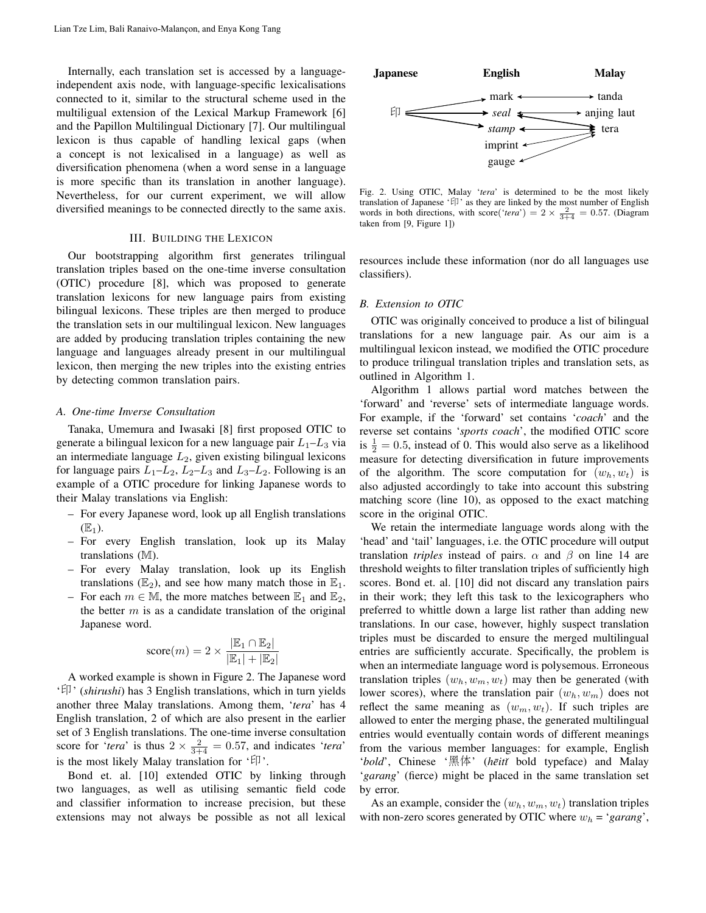Internally, each translation set is accessed by a languageindependent axis node, with language-specific lexicalisations connected to it, similar to the structural scheme used in the multiligual extension of the Lexical Markup Framework [6] and the Papillon Multilingual Dictionary [7]. Our multilingual lexicon is thus capable of handling lexical gaps (when a concept is not lexicalised in a language) as well as diversification phenomena (when a word sense in a language is more specific than its translation in another language). Nevertheless, for our current experiment, we will allow diversified meanings to be connected directly to the same axis.

## III. BUILDING THE LEXICON

Our bootstrapping algorithm first generates trilingual translation triples based on the one-time inverse consultation (OTIC) procedure [8], which was proposed to generate translation lexicons for new language pairs from existing bilingual lexicons. These triples are then merged to produce the translation sets in our multilingual lexicon. New languages are added by producing translation triples containing the new language and languages already present in our multilingual lexicon, then merging the new triples into the existing entries by detecting common translation pairs.

#### *A. One-time Inverse Consultation*

Tanaka, Umemura and Iwasaki [8] first proposed OTIC to generate a bilingual lexicon for a new language pair  $L_1-L_3$  via an intermediate language  $L_2$ , given existing bilingual lexicons for language pairs  $L_1-L_2$ ,  $L_2-L_3$  and  $L_3-L_2$ . Following is an example of a OTIC procedure for linking Japanese words to their Malay translations via English:

- For every Japanese word, look up all English translations  $(E_1)$ .
- For every English translation, look up its Malay translations (M).
- For every Malay translation, look up its English translations ( $\mathbb{E}_2$ ), and see how many match those in  $\mathbb{E}_1$ .
- For each  $m \in \mathbb{M}$ , the more matches between  $\mathbb{E}_1$  and  $\mathbb{E}_2$ , the better  $m$  is as a candidate translation of the original Japanese word.

$$
\text{score}(m) = 2 \times \frac{|\mathbb{E}_1 \cap \mathbb{E}_2|}{|\mathbb{E}_1| + |\mathbb{E}_2|}
$$

A worked example is shown in Figure 2. The Japanese word '印 ' (*shirushi*) has 3 English translations, which in turn yields another three Malay translations. Among them, '*tera*' has 4 English translation, 2 of which are also present in the earlier set of 3 English translations. The one-time inverse consultation score for '*tera*' is thus  $2 \times \frac{2}{3+4} = 0.57$ , and indicates '*tera*' is the most likely Malay translation for ' $f$ '.

Bond et. al. [10] extended OTIC by linking through two languages, as well as utilising semantic field code and classifier information to increase precision, but these



Fig. 2. Using OTIC, Malay '*tera*' is determined to be the most likely translation of Japanese '印' as they are linked by the most number of English words in both directions, with score('*tera*') =  $2 \times \frac{2}{3+4}$  = 0.57. (Diagram taken from [9, Figure 1])

resources include these information (nor do all languages use classifiers).

#### *B. Extension to OTIC*

OTIC was originally conceived to produce a list of bilingual translations for a new language pair. As our aim is a multilingual lexicon instead, we modified the OTIC procedure to produce trilingual translation triples and translation sets, as outlined in Algorithm 1.

Algorithm 1 allows partial word matches between the 'forward' and 'reverse' sets of intermediate language words. For example, if the 'forward' set contains '*coach*' and the reverse set contains '*sports coach*', the modified OTIC score is  $\frac{1}{2} = 0.5$ , instead of 0. This would also serve as a likelihood measure for detecting diversification in future improvements of the algorithm. The score computation for  $(w_h, w_t)$  is also adjusted accordingly to take into account this substring matching score (line 10), as opposed to the exact matching score in the original OTIC.

Extend in the consistent of the neurological Distance of the median of the constraints of the Columb in the Columb in the Columb in the Columb in the Columb in the Columb in the Columb in the Columb in the Columb in the C We retain the intermediate language words along with the 'head' and 'tail' languages, i.e. the OTIC procedure will output translation *triples* instead of pairs.  $\alpha$  and  $\beta$  on line 14 are threshold weights to filter translation triples of sufficiently high scores. Bond et. al. [10] did not discard any translation pairs in their work; they left this task to the lexicographers who preferred to whittle down a large list rather than adding new translations. In our case, however, highly suspect translation triples must be discarded to ensure the merged multilingual entries are sufficiently accurate. Specifically, the problem is when an intermediate language word is polysemous. Erroneous translation triples  $(w_h, w_m, w_t)$  may then be generated (with lower scores), where the translation pair  $(w_h, w_m)$  does not reflect the same meaning as  $(w_m, w_t)$ . If such triples are allowed to enter the merging phase, the generated multilingual entries would eventually contain words of different meanings from the various member languages: for example, English 'bold', Chinese '黑体' (hēitǐ bold typeface) and Malay '*garang*' (fierce) might be placed in the same translation set by error.

As an example, consider the  $(w_h, w_m, w_t)$  translation triples with non-zero scores generated by OTIC where  $w_h = 'garang'$ ,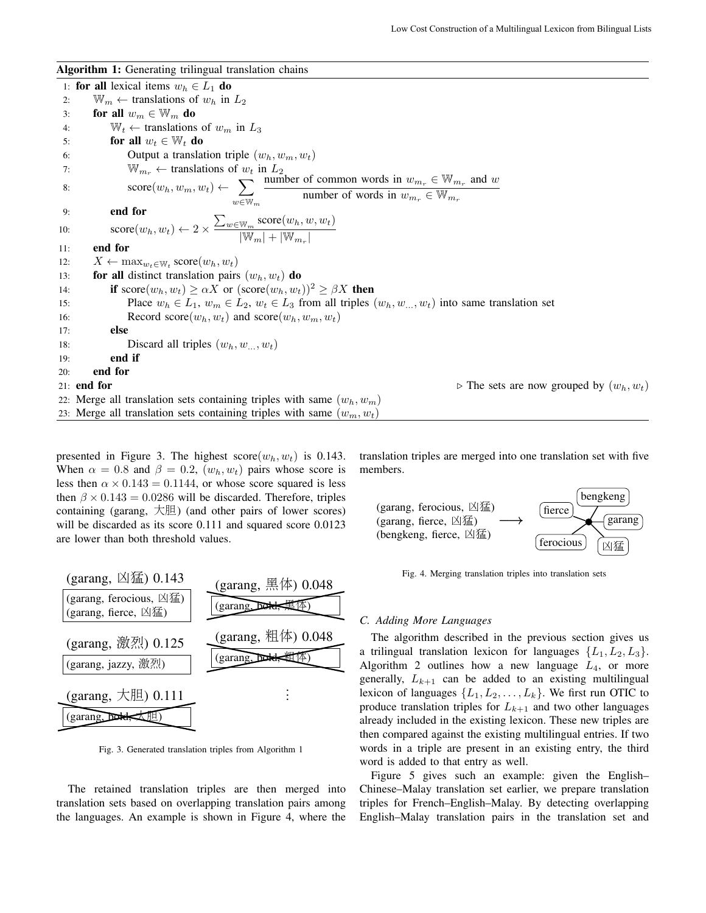Algorithm 1: Generating trilingual translation chains

1: for all lexical items  $w_h \in L_1$  do 2:  $\mathbb{W}_m \leftarrow$  translations of  $w_h$  in  $L_2$ 3: for all  $w_m \in \mathbb{W}_m$  do 4:  $W_t \leftarrow$  translations of  $w_m$  in  $L_3$ 5: for all  $w_t \in \mathbb{W}_t$  do 6: **Output a translation triple**  $(w_h, w_m, w_t)$ 7:  $\mathbb{W}_{m_r} \leftarrow$  translations of  $w_t$  in  $L_2$ 8:  $\sec(w_h, w_m, w_t) \leftarrow \sum$  $w \in \mathbb{W}_m$ number of common words in  $w_{m_r} \in \mathbb{W}_{m_r}$  and w number of words in  $w_{m_r} \in \mathbb{W}_{m_r}$ 9: end for 10:  $\operatorname{score}(w_h, w_t) \leftarrow 2 \times$  $\sum_{w\in\mathbb{W}_m}\text{score}(w_h, w, w_t)$  $|\overline{\mathbb{W}_m}|+|\overline{\mathbb{W}_{m_r}}|$ 11: end for 12:  $X \leftarrow \max_{w_t \in \mathbb{W}_t} \text{score}(w_h, w_t)$ 13: **for all** distinct translation pairs  $(w_h, w_t)$  do 14: **if** score $(w_h, w_t) \ge \alpha X$  or  $(\text{score}(w_h, w_t))^2 \ge \beta X$  then 15: Place  $w_h \in L_1$ ,  $w_m \in L_2$ ,  $w_t \in L_3$  from all triples  $(w_h, w_m, w_t)$  into same translation set 16: Record score $(w_h, w_t)$  and score $(w_h, w_m, w_t)$ 17: else 18: Discard all triples  $(w_h, w_1, w_2)$ 19: end if 20: end for 21: **end for**  $\triangleright$  The sets are now grouped by  $(w_h, w_t)$ 22: Merge all translation sets containing triples with same  $(w_h, w_m)$ 23: Merge all translation sets containing triples with same  $(w_m, w_t)$ 

presented in Figure 3. The highest  $score(w_h, w_t)$  is 0.143. When  $\alpha = 0.8$  and  $\beta = 0.2$ ,  $(w_h, w_t)$  pairs whose score is less then  $\alpha \times 0.143 = 0.1144$ , or whose score squared is less then  $\beta \times 0.143 = 0.0286$  will be discarded. Therefore, triples containing (garang, 大胆) (and other pairs of lower scores) will be discarded as its score 0.111 and squared score 0.0123 are lower than both threshold values.



Fig. 3. Generated translation triples from Algorithm 1

The retained translation triples are then merged into translation sets based on overlapping translation pairs among the languages. An example is shown in Figure 4, where the translation triples are merged into one translation set with five members.



Fig. 4. Merging translation triples into translation sets

## *C. Adding More Languages*

The algorithm described in the previous section gives us a trilingual translation lexicon for languages  $\{L_1, L_2, L_3\}$ . Algorithm 2 outlines how a new language  $L_4$ , or more generally,  $L_{k+1}$  can be added to an existing multilingual lexicon of languages  $\{L_1, L_2, \ldots, L_k\}$ . We first run OTIC to produce translation triples for  $L_{k+1}$  and two other languages already included in the existing lexicon. These new triples are then compared against the existing multilingual entries. If two words in a triple are present in an existing entry, the third word is added to that entry as well.

Figure 5 gives such an example: given the English– Chinese–Malay translation set earlier, we prepare translation triples for French–English–Malay. By detecting overlapping English–Malay translation pairs in the translation set and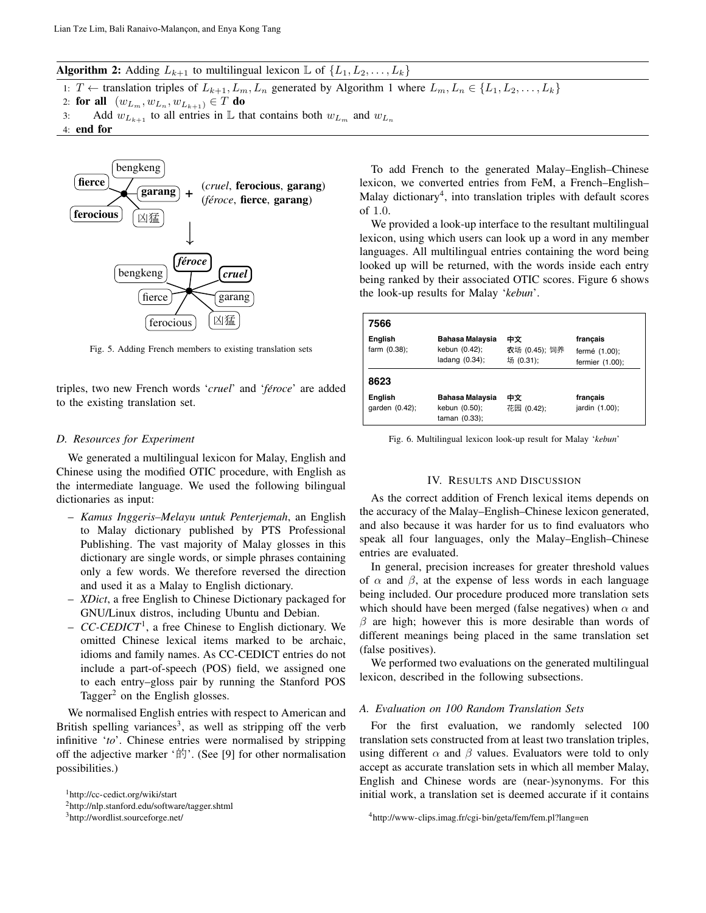**Algorithm 2:** Adding  $L_{k+1}$  to multilingual lexicon  $\mathbb{L}$  of  $\{L_1, L_2, \ldots, L_k\}$ 

1: T ← translation triples of  $L_{k+1}, L_m, L_n$  generated by Algorithm 1 where  $L_m, L_n \in \{L_1, L_2, \ldots, L_k\}$ 

- 2: for all  $(w_{L_m}, w_{L_n}, w_{L_{k+1}}) \in T$  do
- 3: Add  $w_{L_{k+1}}$  to all entries in L that contains both  $w_{L_m}$  and  $w_{L_n}$
- 4: end for



Fig. 5. Adding French members to existing translation sets

triples, two new French words '*cruel*' and '*féroce*' are added to the existing translation set.

## *D. Resources for Experiment*

We generated a multilingual lexicon for Malay, English and Chinese using the modified OTIC procedure, with English as the intermediate language. We used the following bilingual dictionaries as input:

- *Kamus Inggeris–Melayu untuk Penterjemah*, an English to Malay dictionary published by PTS Professional Publishing. The vast majority of Malay glosses in this dictionary are single words, or simple phrases containing only a few words. We therefore reversed the direction and used it as a Malay to English dictionary.
- *XDict*, a free English to Chinese Dictionary packaged for GNU/Linux distros, including Ubuntu and Debian.
- *CC-CEDICT*<sup>1</sup> , a free Chinese to English dictionary. We omitted Chinese lexical items marked to be archaic, idioms and family names. As CC-CEDICT entries do not include a part-of-speech (POS) field, we assigned one to each entry–gloss pair by running the Stanford POS Tagger<sup>2</sup> on the English glosses.

We normalised English entries with respect to American and British spelling variances<sup>3</sup>, as well as stripping off the verb infinitive '*to*'. Chinese entries were normalised by stripping off the adjective marker '的'. (See [9] for other normalisation possibilities.)

<sup>3</sup>http://wordlist.sourceforge.net/

To add French to the generated Malay–English–Chinese lexicon, we converted entries from FeM, a French–English– Malay dictionary<sup>4</sup>, into translation triples with default scores of 1.0.

I 1.0.<br>We provided a look-up interface to the resultant multilingual lexicon, using which users can look up a word in any member languages. All multilingual entries containing the word being looked up will be returned, with the words inside each entry being ranked by their associated OTIC scores. Figure 6 shows the look-up results for Malay '*kebun*'.

| 7566                       |                                                    |                                  |                                              |
|----------------------------|----------------------------------------------------|----------------------------------|----------------------------------------------|
| English<br>farm $(0.38)$ ; | Bahasa Malaysia<br>kebun (0.42);<br>ladang (0.34); | 中文<br>农场 (0.45); 饲养<br>场 (0.31); | francais<br>fermé (1.00);<br>fermier (1.00); |
| 8623                       |                                                    |                                  |                                              |
| English<br>qarden (0.42);  | Bahasa Malaysia<br>kebun (0.50);<br>taman (0.33);  | 中文<br>花园 (0.42);                 | francais<br>jardin (1.00);                   |

Fig. 6. Multilingual lexicon look-up result for Malay '*kebun*'

## IV. RESULTS AND DISCUSSION

As the correct addition of French lexical items depends on the accuracy of the Malay–English–Chinese lexicon generated, and also because it was harder for us to find evaluators who speak all four languages, only the Malay–English–Chinese entries are evaluated.

In general, precision increases for greater threshold values of  $\alpha$  and  $\beta$ , at the expense of less words in each language being included. Our procedure produced more translation sets which should have been merged (false negatives) when  $\alpha$  and  $\beta$  are high; however this is more desirable than words of different meanings being placed in the same translation set (false positives).

We performed two evaluations on the generated multilingual lexicon, described in the following subsections.

## *A. Evaluation on 100 Random Translation Sets*

For the first evaluation, we randomly selected 100 translation sets constructed from at least two translation triples, using different  $\alpha$  and  $\beta$  values. Evaluators were told to only accept as accurate translation sets in which all member Malay, English and Chinese words are (near-)synonyms. For this initial work, a translation set is deemed accurate if it contains

<sup>1</sup>http://cc-cedict.org/wiki/start

<sup>2</sup>http://nlp.stanford.edu/software/tagger.shtml

<sup>4</sup>http://www-clips.imag.fr/cgi-bin/geta/fem/fem.pl?lang=en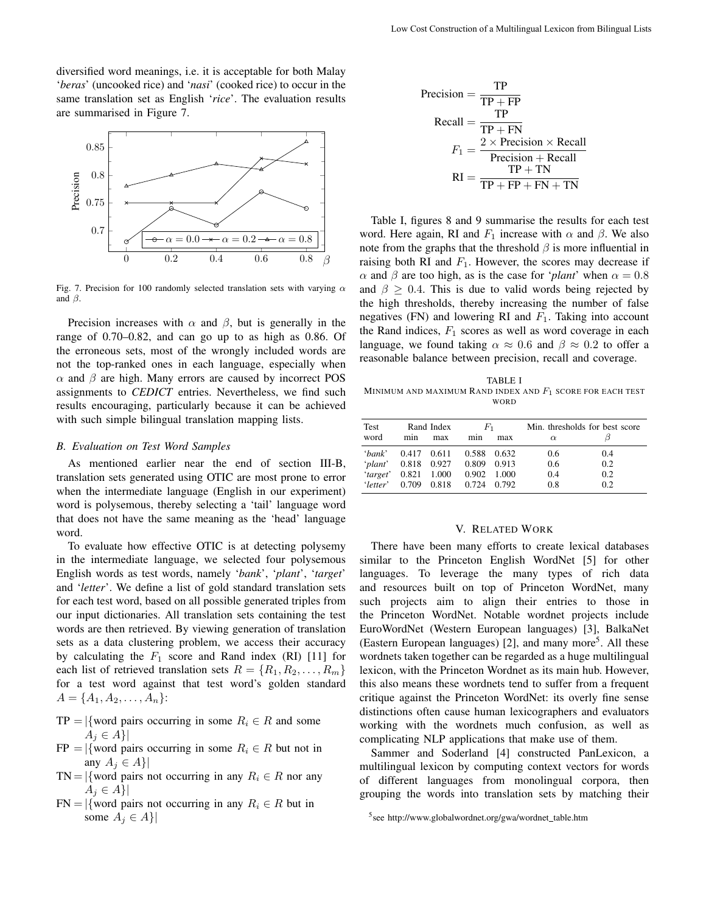diversified word meanings, i.e. it is acceptable for both Malay '*beras*' (uncooked rice) and '*nasi*' (cooked rice) to occur in the same translation set as English '*rice*'. The evaluation results are summarised in Figure 7.



Fig. 7. Precision for 100 randomly selected translation sets with varying  $\alpha$ and  $\beta$ .

Precision increases with  $\alpha$  and  $\beta$ , but is generally in the range of 0.70–0.82, and can go up to as high as 0.86. Of the erroneous sets, most of the wrongly included words are not the top-ranked ones in each language, especially when  $\alpha$  and  $\beta$  are high. Many errors are caused by incorrect POS assignments to *CEDICT* entries. Nevertheless, we find such results encouraging, particularly because it can be achieved with such simple bilingual translation mapping lists.

#### *B. Evaluation on Test Word Samples*

As mentioned earlier near the end of section III-B, translation sets generated using OTIC are most prone to error when the intermediate language (English in our experiment) word is polysemous, thereby selecting a 'tail' language word that does not have the same meaning as the 'head' language word.

To evaluate how effective OTIC is at detecting polysemy in the intermediate language, we selected four polysemous English words as test words, namely '*bank*', '*plant*', '*target*' and '*letter*'. We define a list of gold standard translation sets for each test word, based on all possible generated triples from our input dictionaries. All translation sets containing the test words are then retrieved. By viewing generation of translation sets as a data clustering problem, we access their accuracy by calculating the  $F_1$  score and Rand index (RI) [11] for each list of retrieved translation sets  $R = \{R_1, R_2, \ldots, R_m\}$ for a test word against that test word's golden standard  $A = \{A_1, A_2, \ldots, A_n\}$ :

- $TP = |\{$  word pairs occurring in some  $R_i \in R$  and some  $A_i \in A$ |
- $FP = |\{$  word pairs occurring in some  $R_i \in R$  but not in any  $A_i \in A$ |
- TN = |{word pairs not occurring in any  $R_i \in R$  nor any  $A_i \in A$ |
- $FN = |\{word pairs not occurring in any  $R_i \in R$  but in$ some  $A_j \in A$ }

$$
Precision = \frac{TP}{TP + FP}
$$
  
Recall = 
$$
\frac{TP}{TP + FN}
$$
  

$$
F_1 = \frac{2 \times Precision \times Recall}{Precision + Recall}
$$
  

$$
RI = \frac{TP + TN}{TP + FP + FN + TN}
$$

Table I, figures 8 and 9 summarise the results for each test word. Here again, RI and  $F_1$  increase with  $\alpha$  and  $\beta$ . We also note from the graphs that the threshold  $\beta$  is more influential in raising both RI and  $F_1$ . However, the scores may decrease if  $\alpha$  and  $\beta$  are too high, as is the case for '*plant*' when  $\alpha = 0.8$ and  $\beta \geq 0.4$ . This is due to valid words being rejected by the high thresholds, thereby increasing the number of false negatives (FN) and lowering RI and  $F_1$ . Taking into account the Rand indices,  $F_1$  scores as well as word coverage in each language, we found taking  $\alpha \approx 0.6$  and  $\beta \approx 0.2$  to offer a reasonable balance between precision, recall and coverage.

TABLE I MINIMUM AND MAXIMUM RAND INDEX AND  $F_1$  score for each test WORD

| Test                      | Rand Index |       | $F_{1}$     |       | Min. thresholds for best score |     |
|---------------------------|------------|-------|-------------|-------|--------------------------------|-----|
| word                      | min        | max   | min         | max   | $\alpha$                       |     |
| $'bank'$ 0.417 0.611      |            |       | 0.588       | 0.632 | 0.6                            | 0.4 |
| 'plant' 0.818 0.927 0.809 |            |       |             | 0.913 | 0.6                            | 0.2 |
| $'target'$ 0.821 1.000    |            |       | 0.902       | 1.000 | 0.4                            | 0.2 |
| $'letter'$ 0.709          |            | 0.818 | 0.724 0.792 |       | 0.8                            | 0.2 |

#### V. RELATED WORK

There have been many efforts to create lexical databases similar to the Princeton English WordNet [5] for other languages. To leverage the many types of rich data and resources built on top of Princeton WordNet, many such projects aim to align their entries to those in the Princeton WordNet. Notable wordnet projects include EuroWordNet (Western European languages) [3], BalkaNet (Eastern European languages) [2], and many more<sup>5</sup>. All these wordnets taken together can be regarded as a huge multilingual lexicon, with the Princeton Wordnet as its main hub. However, this also means these wordnets tend to suffer from a frequent critique against the Princeton WordNet: its overly fine sense distinctions often cause human lexicographers and evaluators working with the wordnets much confusion, as well as complicating NLP applications that make use of them.

Sammer and Soderland [4] constructed PanLexicon, a multilingual lexicon by computing context vectors for words of different languages from monolingual corpora, then grouping the words into translation sets by matching their

<sup>&</sup>lt;sup>5</sup>see http://www.globalwordnet.org/gwa/wordnet\_table.htm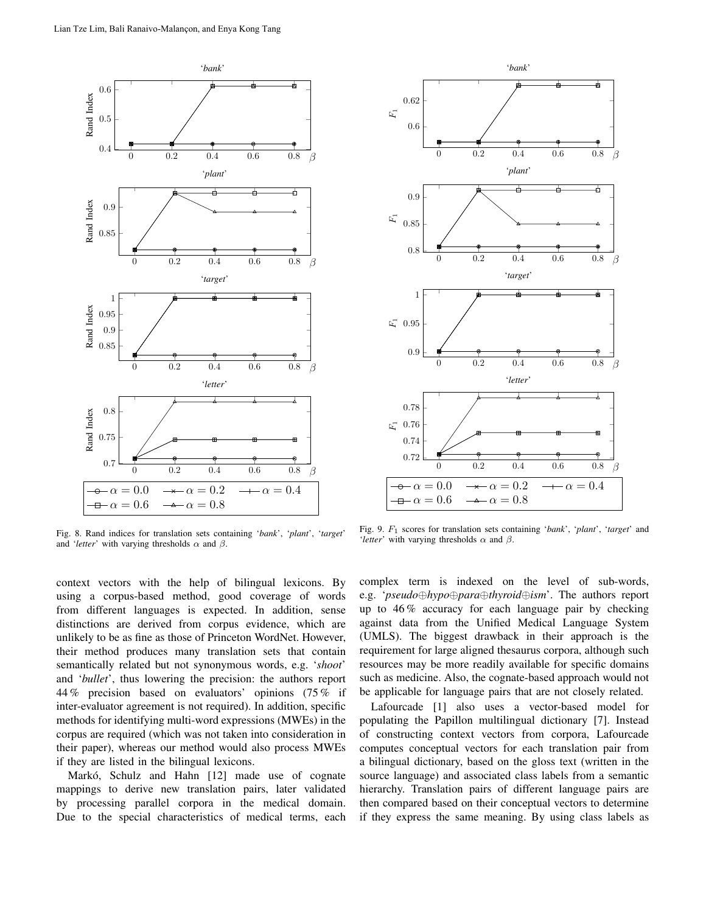

Fig. 8. Rand indices for translation sets containing '*bank*', '*plant*', '*target*' and '*letter*' with varying thresholds  $\alpha$  and  $\beta$ .



Fig. 9. F<sup>1</sup> scores for translation sets containing '*bank*', '*plant*', '*target*' and '*letter*' with varying thresholds  $\alpha$  and  $\beta$ .

context vectors with the help of bilingual lexicons. By using a corpus-based method, good coverage of words from different languages is expected. In addition, sense distinctions are derived from corpus evidence, which are unlikely to be as fine as those of Princeton WordNet. However, their method produces many translation sets that contain semantically related but not synonymous words, e.g. '*shoot*' and '*bullet*', thus lowering the precision: the authors report 44 % precision based on evaluators' opinions (75 % if inter-evaluator agreement is not required). In addition, specific methods for identifying multi-word expressions (MWEs) in the corpus are required (which was not taken into consideration in their paper), whereas our method would also process MWEs if they are listed in the bilingual lexicons.

Markó, Schulz and Hahn [12] made use of cognate mappings to derive new translation pairs, later validated by processing parallel corpora in the medical domain. Due to the special characteristics of medical terms, each complex term is indexed on the level of sub-words, e.g. '*pseudo*⊕*hypo*⊕*para*⊕*thyroid*⊕*ism*'. The authors report up to 46 % accuracy for each language pair by checking against data from the Unified Medical Language System (UMLS). The biggest drawback in their approach is the requirement for large aligned thesaurus corpora, although such resources may be more readily available for specific domains such as medicine. Also, the cognate-based approach would not be applicable for language pairs that are not closely related.

Lafourcade [1] also uses a vector-based model for populating the Papillon multilingual dictionary [7]. Instead of constructing context vectors from corpora, Lafourcade computes conceptual vectors for each translation pair from a bilingual dictionary, based on the gloss text (written in the source language) and associated class labels from a semantic hierarchy. Translation pairs of different language pairs are then compared based on their conceptual vectors to determine if they express the same meaning. By using class labels as